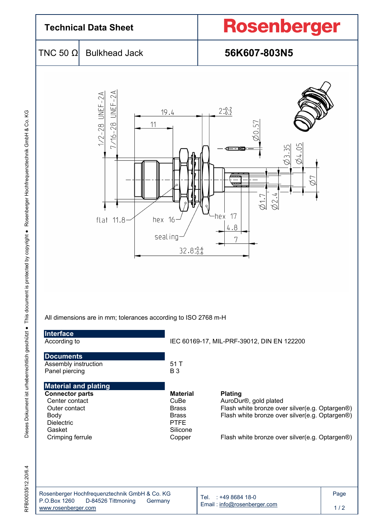

Body Brass Flash white bronze over silver(e.g. Optargen®)

RFB00035/12.20/6.4 Dieses Dokument ist urheberrechtlich geschützt ● This document is protected by copyright ● Rosenberger Hochfrequenztechnik GmbH & Co. KG Dieses Dokument ist urheberrechtlich geschützt ● This document is protected by copyright ● Rosenberger Hochfrequenztechnik GmbH & Co. KG

Dielectric **PTFE** Gasket **Silicone** Crimping ferrule Copper Flash white bronze over silver(e.g. Optargen®) RFB00035/12.20/6.4

| Rosenberger Hochfrequenztechnik GmbH & Co. KG |                    |         |  |
|-----------------------------------------------|--------------------|---------|--|
| P.O.Box 1260                                  | D-84526 Tittmoning | Germany |  |
| www.rosenberger.com                           |                    |         |  |

Tel. : +49 8684 18-0 Email : info@rosenberger.com Page

 $1/2$